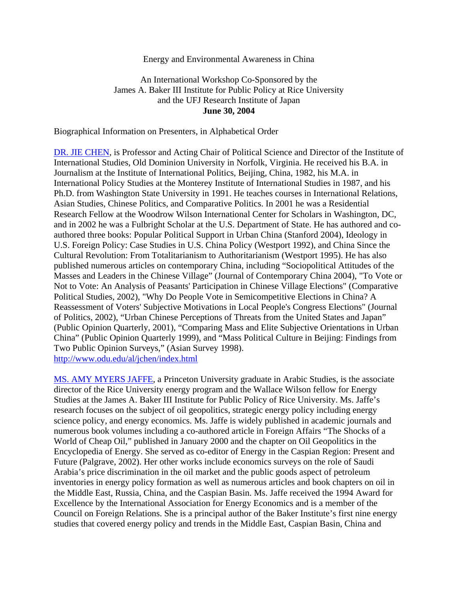## Energy and Environmental Awareness in China

## An International Workshop Co-Sponsored by the James A. Baker III Institute for Public Policy at Rice University and the UFJ Research Institute of Japan **June 30, 2004**

Biographical Information on Presenters, in Alphabetical Order

DR. JIE CHEN, is Professor and Acting Chair of Political Science and Director of the Institute of International Studies, Old Dominion University in Norfolk, Virginia. He received his B.A. in Journalism at the Institute of International Politics, Beijing, China, 1982, his M.A. in International Policy Studies at the Monterey Institute of International Studies in 1987, and his Ph.D. from Washington State University in 1991. He teaches courses in International Relations, Asian Studies, Chinese Politics, and Comparative Politics. In 2001 he was a Residential Research Fellow at the Woodrow Wilson International Center for Scholars in Washington, DC, and in 2002 he was a Fulbright Scholar at the U.S. Department of State. He has authored and coauthored three books: Popular Political Support in Urban China (Stanford 2004), Ideology in U.S. Foreign Policy: Case Studies in U.S. China Policy (Westport 1992), and China Since the Cultural Revolution: From Totalitarianism to Authoritarianism (Westport 1995). He has also published numerous articles on contemporary China, including "Sociopolitical Attitudes of the Masses and Leaders in the Chinese Village" (Journal of Contemporary China 2004), "To Vote or Not to Vote: An Analysis of Peasants' Participation in Chinese Village Elections" (Comparative Political Studies, 2002), "Why Do People Vote in Semicompetitive Elections in China? A Reassessment of Voters' Subjective Motivations in Local People's Congress Elections" (Journal of Politics, 2002), "Urban Chinese Perceptions of Threats from the United States and Japan" (Public Opinion Quarterly, 2001), "Comparing Mass and Elite Subjective Orientations in Urban China" (Public Opinion Quarterly 1999), and "Mass Political Culture in Beijing: Findings from Two Public Opinion Surveys," (Asian Survey 1998). http://www.odu.edu/al/jchen/index.html

MS. AMY MYERS JAFFE, a Princeton University graduate in Arabic Studies, is the associate director of the Rice University energy program and the Wallace Wilson fellow for Energy Studies at the James A. Baker III Institute for Public Policy of Rice University. Ms. Jaffe's research focuses on the subject of oil geopolitics, strategic energy policy including energy science policy, and energy economics. Ms. Jaffe is widely published in academic journals and numerous book volumes including a co-authored article in Foreign Affairs "The Shocks of a World of Cheap Oil," published in January 2000 and the chapter on Oil Geopolitics in the Encyclopedia of Energy. She served as co-editor of Energy in the Caspian Region: Present and Future (Palgrave, 2002). Her other works include economics surveys on the role of Saudi Arabia's price discrimination in the oil market and the public goods aspect of petroleum inventories in energy policy formation as well as numerous articles and book chapters on oil in the Middle East, Russia, China, and the Caspian Basin. Ms. Jaffe received the 1994 Award for Excellence by the International Association for Energy Economics and is a member of the Council on Foreign Relations. She is a principal author of the Baker Institute's first nine energy studies that covered energy policy and trends in the Middle East, Caspian Basin, China and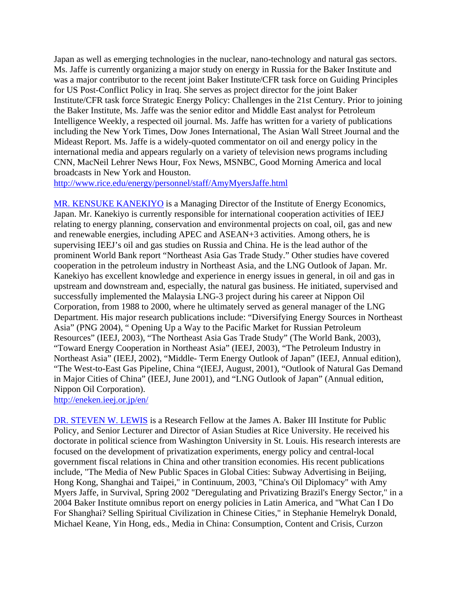Japan as well as emerging technologies in the nuclear, nano-technology and natural gas sectors. Ms. Jaffe is currently organizing a major study on energy in Russia for the Baker Institute and was a major contributor to the recent joint Baker Institute/CFR task force on Guiding Principles for US Post-Conflict Policy in Iraq. She serves as project director for the joint Baker Institute/CFR task force Strategic Energy Policy: Challenges in the 21st Century. Prior to joining the Baker Institute, Ms. Jaffe was the senior editor and Middle East analyst for Petroleum Intelligence Weekly, a respected oil journal. Ms. Jaffe has written for a variety of publications including the New York Times, Dow Jones International, The Asian Wall Street Journal and the Mideast Report. Ms. Jaffe is a widely-quoted commentator on oil and energy policy in the international media and appears regularly on a variety of television news programs including CNN, MacNeil Lehrer News Hour, Fox News, MSNBC, Good Morning America and local broadcasts in New York and Houston.

http://www.rice.edu/energy/personnel/staff/AmyMyersJaffe.html

MR. KENSUKE KANEKIYO is a Managing Director of the Institute of Energy Economics, Japan. Mr. Kanekiyo is currently responsible for international cooperation activities of IEEJ relating to energy planning, conservation and environmental projects on coal, oil, gas and new and renewable energies, including APEC and ASEAN+3 activities. Among others, he is supervising IEEJ's oil and gas studies on Russia and China. He is the lead author of the prominent World Bank report "Northeast Asia Gas Trade Study." Other studies have covered cooperation in the petroleum industry in Northeast Asia, and the LNG Outlook of Japan. Mr. Kanekiyo has excellent knowledge and experience in energy issues in general, in oil and gas in upstream and downstream and, especially, the natural gas business. He initiated, supervised and successfully implemented the Malaysia LNG-3 project during his career at Nippon Oil Corporation, from 1988 to 2000, where he ultimately served as general manager of the LNG Department. His major research publications include: "Diversifying Energy Sources in Northeast Asia" (PNG 2004), " Opening Up a Way to the Pacific Market for Russian Petroleum Resources" (IEEJ, 2003), "The Northeast Asia Gas Trade Study" (The World Bank, 2003), "Toward Energy Cooperation in Northeast Asia" (IEEJ, 2003), "The Petroleum Industry in Northeast Asia" (IEEJ, 2002), "Middle- Term Energy Outlook of Japan" (IEEJ, Annual edition), "The West-to-East Gas Pipeline, China "(IEEJ, August, 2001), "Outlook of Natural Gas Demand in Major Cities of China" (IEEJ, June 2001), and "LNG Outlook of Japan" (Annual edition, Nippon Oil Corporation).

http://eneken.ieej.or.jp/en/

DR. STEVEN W. LEWIS is a Research Fellow at the James A. Baker III Institute for Public Policy, and Senior Lecturer and Director of Asian Studies at Rice University. He received his doctorate in political science from Washington University in St. Louis. His research interests are focused on the development of privatization experiments, energy policy and central-local government fiscal relations in China and other transition economies. His recent publications include, "The Media of New Public Spaces in Global Cities: Subway Advertising in Beijing, Hong Kong, Shanghai and Taipei," in Continuum, 2003, "China's Oil Diplomacy" with Amy Myers Jaffe, in Survival, Spring 2002 "Deregulating and Privatizing Brazil's Energy Sector," in a 2004 Baker Institute omnibus report on energy policies in Latin America, and "What Can I Do For Shanghai? Selling Spiritual Civilization in Chinese Cities," in Stephanie Hemelryk Donald, Michael Keane, Yin Hong, eds., Media in China: Consumption, Content and Crisis, Curzon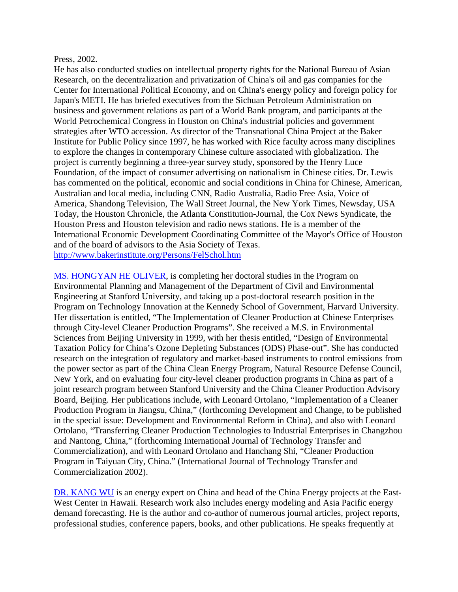## Press, 2002.

He has also conducted studies on intellectual property rights for the National Bureau of Asian Research, on the decentralization and privatization of China's oil and gas companies for the Center for International Political Economy, and on China's energy policy and foreign policy for Japan's METI. He has briefed executives from the Sichuan Petroleum Administration on business and government relations as part of a World Bank program, and participants at the World Petrochemical Congress in Houston on China's industrial policies and government strategies after WTO accession. As director of the Transnational China Project at the Baker Institute for Public Policy since 1997, he has worked with Rice faculty across many disciplines to explore the changes in contemporary Chinese culture associated with globalization. The project is currently beginning a three-year survey study, sponsored by the Henry Luce Foundation, of the impact of consumer advertising on nationalism in Chinese cities. Dr. Lewis has commented on the political, economic and social conditions in China for Chinese, American, Australian and local media, including CNN, Radio Australia, Radio Free Asia, Voice of America, Shandong Television, The Wall Street Journal, the New York Times, Newsday, USA Today, the Houston Chronicle, the Atlanta Constitution-Journal, the Cox News Syndicate, the Houston Press and Houston television and radio news stations. He is a member of the International Economic Development Coordinating Committee of the Mayor's Office of Houston and of the board of advisors to the Asia Society of Texas. http://www.bakerinstitute.org/Persons/FelSchol.htm

MS. HONGYAN HE OLIVER, is completing her doctoral studies in the Program on Environmental Planning and Management of the Department of Civil and Environmental Engineering at Stanford University, and taking up a post-doctoral research position in the Program on Technology Innovation at the Kennedy School of Government, Harvard University. Her dissertation is entitled, "The Implementation of Cleaner Production at Chinese Enterprises through City-level Cleaner Production Programs". She received a M.S. in Environmental Sciences from Beijing University in 1999, with her thesis entitled, "Design of Environmental Taxation Policy for China's Ozone Depleting Substances (ODS) Phase-out". She has conducted research on the integration of regulatory and market-based instruments to control emissions from the power sector as part of the China Clean Energy Program, Natural Resource Defense Council, New York, and on evaluating four city-level cleaner production programs in China as part of a joint research program between Stanford University and the China Cleaner Production Advisory Board, Beijing. Her publications include, with Leonard Ortolano, "Implementation of a Cleaner Production Program in Jiangsu, China," (forthcoming Development and Change, to be published in the special issue: Development and Environmental Reform in China), and also with Leonard Ortolano, "Transferring Cleaner Production Technologies to Industrial Enterprises in Changzhou and Nantong, China," (forthcoming International Journal of Technology Transfer and Commercialization), and with Leonard Ortolano and Hanchang Shi, "Cleaner Production Program in Taiyuan City, China." (International Journal of Technology Transfer and Commercialization 2002).

DR. KANG WU is an energy expert on China and head of the China Energy projects at the East-West Center in Hawaii. Research work also includes energy modeling and Asia Pacific energy demand forecasting. He is the author and co-author of numerous journal articles, project reports, professional studies, conference papers, books, and other publications. He speaks frequently at